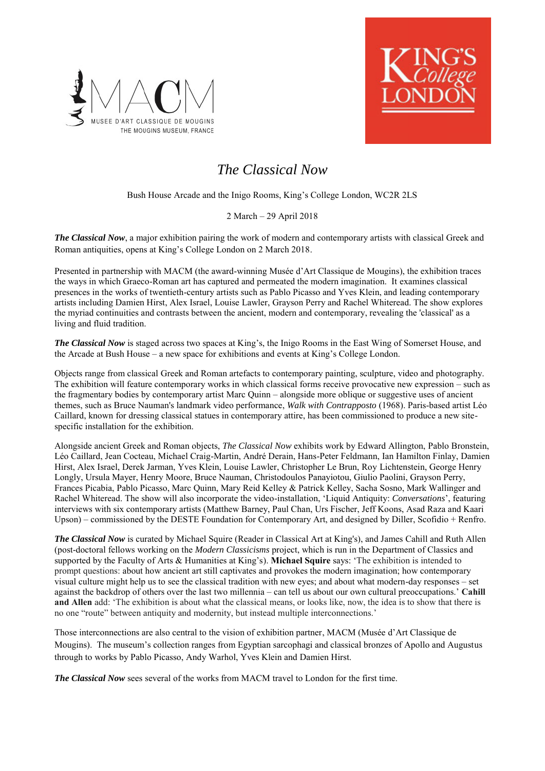



# *The Classical Now*

Bush House Arcade and the Inigo Rooms, King's College London, WC2R 2LS

# 2 March – 29 April 2018

*The Classical Now*, a major exhibition pairing the work of modern and contemporary artists with classical Greek and Roman antiquities, opens at King's College London on 2 March 2018.

Presented in partnership with MACM (the award-winning Musée d'Art Classique de Mougins), the exhibition traces the ways in which Graeco-Roman art has captured and permeated the modern imagination. It examines classical presences in the works of twentieth-century artists such as Pablo Picasso and Yves Klein, and leading contemporary artists including Damien Hirst, Alex Israel, Louise Lawler, Grayson Perry and Rachel Whiteread. The show explores the myriad continuities and contrasts between the ancient, modern and contemporary, revealing the 'classical' as a living and fluid tradition.

*The Classical Now* is staged across two spaces at King's, the Inigo Rooms in the East Wing of Somerset House, and the Arcade at Bush House – a new space for exhibitions and events at King's College London.

Objects range from classical Greek and Roman artefacts to contemporary painting, sculpture, video and photography. The exhibition will feature contemporary works in which classical forms receive provocative new expression – such as the fragmentary bodies by contemporary artist Marc Quinn – alongside more oblique or suggestive uses of ancient themes, such as Bruce Nauman's landmark video performance, *Walk with Contrapposto* (1968). Paris-based artist Léo Caillard, known for dressing classical statues in contemporary attire, has been commissioned to produce a new sitespecific installation for the exhibition.

Alongside ancient Greek and Roman objects, *The Classical Now* exhibits work by Edward Allington, Pablo Bronstein, Léo Caillard, Jean Cocteau, Michael Craig-Martin, André Derain, Hans-Peter Feldmann, Ian Hamilton Finlay, Damien Hirst, Alex Israel, Derek Jarman, Yves Klein, Louise Lawler, Christopher Le Brun, Roy Lichtenstein, George Henry Longly, Ursula Mayer, Henry Moore, Bruce Nauman, Christodoulos Panayiotou, Giulio Paolini, Grayson Perry, Frances Picabia, Pablo Picasso, Marc Quinn, Mary Reid Kelley & Patrick Kelley, Sacha Sosno, Mark Wallinger and Rachel Whiteread. The show will also incorporate the video-installation, 'Liquid Antiquity: *Conversations*', featuring interviews with six contemporary artists (Matthew Barney, Paul Chan, Urs Fischer, Jeff Koons, Asad Raza and Kaari Upson) – commissioned by the DESTE Foundation for Contemporary Art, and designed by Diller, Scofidio + Renfro.

*The Classical Now* is curated by Michael Squire (Reader in Classical Art at King's), and James Cahill and Ruth Allen (post-doctoral fellows working on the *Modern Classicisms* project, which is run in the Department of Classics and supported by the Faculty of Arts & Humanities at King's). **Michael Squire** says: 'The exhibition is intended to prompt questions: about how ancient art still captivates and provokes the modern imagination; how contemporary visual culture might help us to see the classical tradition with new eyes; and about what modern-day responses – set against the backdrop of others over the last two millennia – can tell us about our own cultural preoccupations.' **Cahill and Allen** add: 'The exhibition is about what the classical means, or looks like, now, the idea is to show that there is no one "route" between antiquity and modernity, but instead multiple interconnections.'

Those interconnections are also central to the vision of exhibition partner, MACM (Musée d'Art Classique de Mougins). The museum's collection ranges from Egyptian sarcophagi and classical bronzes of Apollo and Augustus through to works by Pablo Picasso, Andy Warhol, Yves Klein and Damien Hirst.

*The Classical Now sees several of the works from MACM travel to London for the first time.*